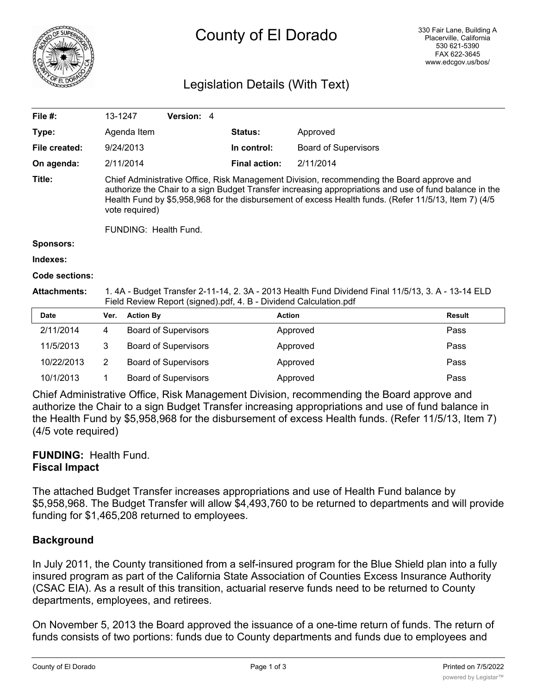

# County of El Dorado

## Legislation Details (With Text)

| File $#$ :          |                                                                                                                                                                                                                                                                                                                               | Version: 4                  |                      |                             |               |  |  |
|---------------------|-------------------------------------------------------------------------------------------------------------------------------------------------------------------------------------------------------------------------------------------------------------------------------------------------------------------------------|-----------------------------|----------------------|-----------------------------|---------------|--|--|
|                     | 13-1247                                                                                                                                                                                                                                                                                                                       |                             |                      |                             |               |  |  |
| Type:               | Agenda Item                                                                                                                                                                                                                                                                                                                   |                             | <b>Status:</b>       | Approved                    |               |  |  |
| File created:       | 9/24/2013                                                                                                                                                                                                                                                                                                                     |                             | In control:          | <b>Board of Supervisors</b> |               |  |  |
| On agenda:          | 2/11/2014                                                                                                                                                                                                                                                                                                                     |                             | <b>Final action:</b> | 2/11/2014                   |               |  |  |
| Title:              | Chief Administrative Office, Risk Management Division, recommending the Board approve and<br>authorize the Chair to a sign Budget Transfer increasing appropriations and use of fund balance in the<br>Health Fund by \$5,958,968 for the disbursement of excess Health funds. (Refer 11/5/13, Item 7) (4/5<br>vote required) |                             |                      |                             |               |  |  |
|                     | FUNDING: Health Fund.                                                                                                                                                                                                                                                                                                         |                             |                      |                             |               |  |  |
| <b>Sponsors:</b>    |                                                                                                                                                                                                                                                                                                                               |                             |                      |                             |               |  |  |
| Indexes:            |                                                                                                                                                                                                                                                                                                                               |                             |                      |                             |               |  |  |
| Code sections:      |                                                                                                                                                                                                                                                                                                                               |                             |                      |                             |               |  |  |
| <b>Attachments:</b> | 1. 4A - Budget Transfer 2-11-14, 2. 3A - 2013 Health Fund Dividend Final 11/5/13, 3. A - 13-14 ELD<br>Field Review Report (signed).pdf, 4. B - Dividend Calculation.pdf                                                                                                                                                       |                             |                      |                             |               |  |  |
| <b>Date</b>         | Ver.                                                                                                                                                                                                                                                                                                                          | <b>Action By</b>            | <b>Action</b>        |                             | <b>Result</b> |  |  |
| 2/11/2014           | 4                                                                                                                                                                                                                                                                                                                             | <b>Board of Supervisors</b> |                      | Approved                    | Pass          |  |  |

| 11/5/2013  | Board of Supervisors | Approved | Pass |
|------------|----------------------|----------|------|
| 10/22/2013 | Board of Supervisors | Approved | Pass |
| 10/1/2013  | Board of Supervisors | Approved | Pass |

Chief Administrative Office, Risk Management Division, recommending the Board approve and authorize the Chair to a sign Budget Transfer increasing appropriations and use of fund balance in the Health Fund by \$5,958,968 for the disbursement of excess Health funds. (Refer 11/5/13, Item 7) (4/5 vote required)

#### **FUNDING:** Health Fund. **Fiscal Impact**

The attached Budget Transfer increases appropriations and use of Health Fund balance by \$5,958,968. The Budget Transfer will allow \$4,493,760 to be returned to departments and will provide funding for \$1,465,208 returned to employees.

### **Background**

In July 2011, the County transitioned from a self-insured program for the Blue Shield plan into a fully insured program as part of the California State Association of Counties Excess Insurance Authority (CSAC EIA). As a result of this transition, actuarial reserve funds need to be returned to County departments, employees, and retirees.

On November 5, 2013 the Board approved the issuance of a one-time return of funds. The return of funds consists of two portions: funds due to County departments and funds due to employees and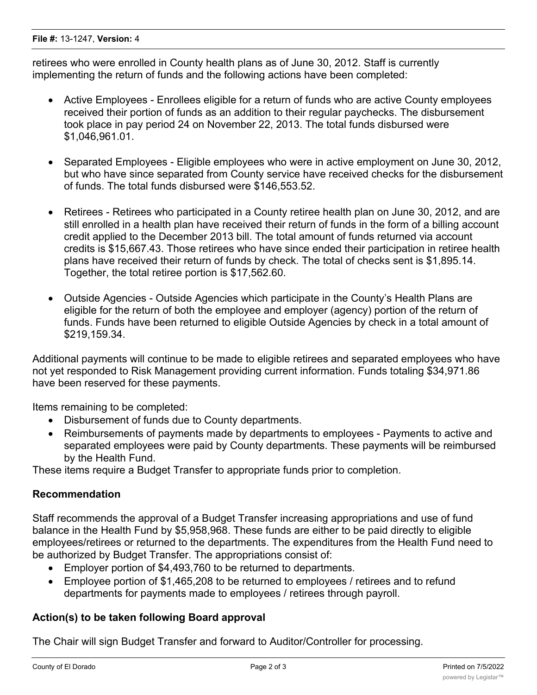retirees who were enrolled in County health plans as of June 30, 2012. Staff is currently implementing the return of funds and the following actions have been completed:

- · Active Employees Enrollees eligible for a return of funds who are active County employees received their portion of funds as an addition to their regular paychecks. The disbursement took place in pay period 24 on November 22, 2013. The total funds disbursed were \$1,046,961.01.
- · Separated Employees Eligible employees who were in active employment on June 30, 2012, but who have since separated from County service have received checks for the disbursement of funds. The total funds disbursed were \$146,553.52.
- Retirees Retirees who participated in a County retiree health plan on June 30, 2012, and are still enrolled in a health plan have received their return of funds in the form of a billing account credit applied to the December 2013 bill. The total amount of funds returned via account credits is \$15,667.43. Those retirees who have since ended their participation in retiree health plans have received their return of funds by check. The total of checks sent is \$1,895.14. Together, the total retiree portion is \$17,562.60.
- · Outside Agencies Outside Agencies which participate in the County's Health Plans are eligible for the return of both the employee and employer (agency) portion of the return of funds. Funds have been returned to eligible Outside Agencies by check in a total amount of \$219,159.34.

Additional payments will continue to be made to eligible retirees and separated employees who have not yet responded to Risk Management providing current information. Funds totaling \$34,971.86 have been reserved for these payments.

Items remaining to be completed:

- · Disbursement of funds due to County departments.
- · Reimbursements of payments made by departments to employees Payments to active and separated employees were paid by County departments. These payments will be reimbursed by the Health Fund.

These items require a Budget Transfer to appropriate funds prior to completion.

#### **Recommendation**

Staff recommends the approval of a Budget Transfer increasing appropriations and use of fund balance in the Health Fund by \$5,958,968. These funds are either to be paid directly to eligible employees/retirees or returned to the departments. The expenditures from the Health Fund need to be authorized by Budget Transfer. The appropriations consist of:

- · Employer portion of \$4,493,760 to be returned to departments.
- Employee portion of \$1,465,208 to be returned to employees / retirees and to refund departments for payments made to employees / retirees through payroll.

#### **Action(s) to be taken following Board approval**

The Chair will sign Budget Transfer and forward to Auditor/Controller for processing.